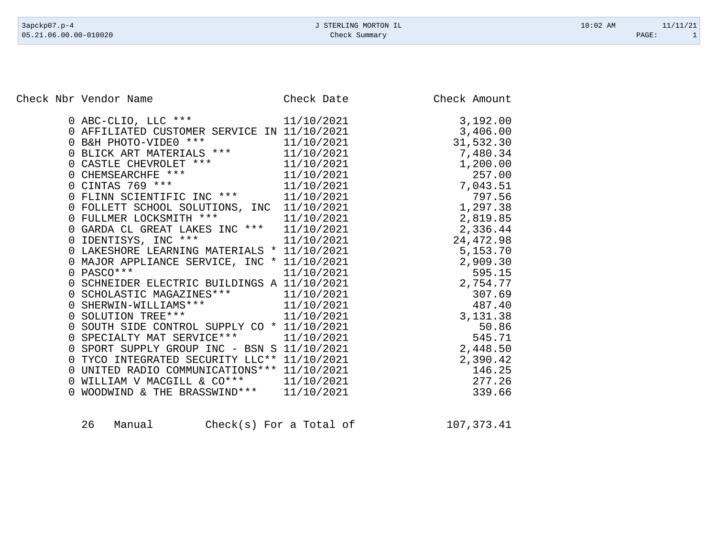Check Nbr Vendor Name Check Date Check Date Check Amount

| 0 ABC-CLIO, LLC ***                                              | 11/10/2021 | 3,192.00   |
|------------------------------------------------------------------|------------|------------|
| 0 AFFILIATED CUSTOMER SERVICE IN 11/10/2021                      |            | 3,406.00   |
| 0 B&H PHOTO-VIDE0 ***                                            | 11/10/2021 | 31,532.30  |
| 0 BLICK ART MATERIALS ***                                        | 11/10/2021 | 7,480.34   |
|                                                                  | 11/10/2021 | 1,200.00   |
|                                                                  | 11/10/2021 | 257.00     |
| 0 CASTLE CHEVROLET ***<br>0 CHEMSEARCHFE ***<br>0 CINTAS 769 *** | 11/10/2021 | 7,043.51   |
| 0 FLINN SCIENTIFIC INC ***                                       | 11/10/2021 | 797.56     |
| 0 FOLLETT SCHOOL SOLUTIONS, INC                                  | 11/10/2021 | 1,297.38   |
| 0 FULLMER LOCKSMITH ***                                          | 11/10/2021 | 2,819.85   |
| 0 GARDA CL GREAT LAKES INC *** 11/10/2021                        |            | 2,336.44   |
| 0 IDENTISYS, INC ***<br>11/10/2021                               |            | 24, 472.98 |
| 0 LAKESHORE LEARNING MATERIALS * 11/10/2021                      |            | 5,153.70   |
| 0 MAJOR APPLIANCE SERVICE, INC * 11/10/2021                      |            | 2,909.30   |
| $0$ PASCO ***                                                    | 11/10/2021 | 595.15     |
| 0 SCHNEIDER ELECTRIC BUILDINGS A 11/10/2021                      |            | 2,754.77   |
| 0 SCHOLASTIC MAGAZINES *** 11/10/2021                            |            | 307.69     |
| 0 SHERWIN-WILLIAMS *** 11/10/2021                                |            | 487.40     |
| 0 SOLUTION TREE*** 11/10/2021                                    |            | 3,131.38   |
| 0 SOUTH SIDE CONTROL SUPPLY CO * 11/10/2021                      |            | 50.86      |
| 0 SPECIALTY MAT SERVICE *** 11/10/2021                           |            | 545.71     |
| 0 SPORT SUPPLY GROUP INC - BSN S 11/10/2021                      |            | 2,448.50   |
| 0 TYCO INTEGRATED SECURITY LLC** 11/10/2021                      |            | 2,390.42   |
| UNITED RADIO COMMUNICATIONS *** 11/10/2021<br>0                  |            | 146.25     |
| 0 WILLIAM V MACGILL & CO***                                      | 11/10/2021 | 277.26     |
| WOODWIND & THE BRASSWIND ***                                     | 11/10/2021 | 339.66     |
|                                                                  |            |            |

| 26<br>$Check(s)$ For a Total of<br>Manual | 107,373.41 |
|-------------------------------------------|------------|
|-------------------------------------------|------------|